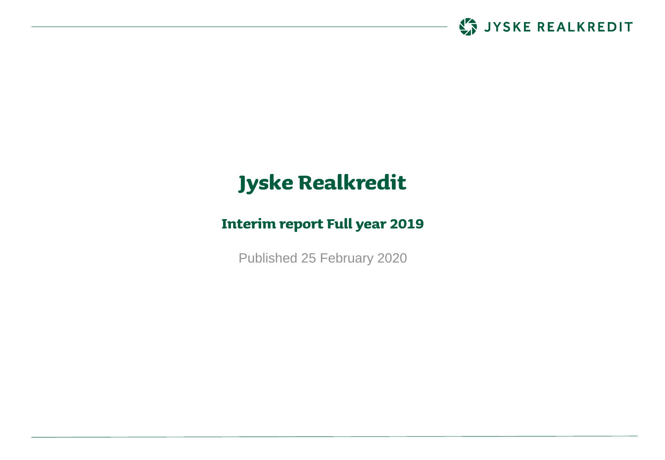

# **Jyske Realkredit**

### **Interim report Full year 2019**

Published 25 February 2020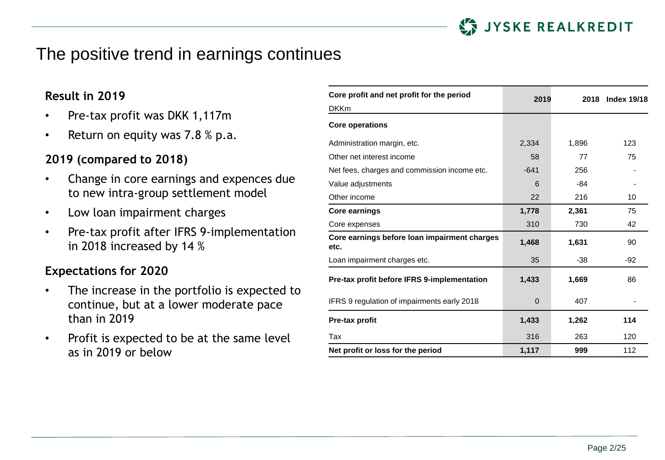

### The positive trend in earnings continues

### **Result in 2019**

- Pre-tax profit was DKK 1,117m
- Return on equity was  $7.8\%$  p.a.

### **2019 (compared to 2018)**

- Change in core earnings and expences due to new intra-group settlement model
- Low loan impairment charges
- Pre-tax profit after IFRS 9-implementation in 2018 increased by 14 %

### **Expectations for 2020**

- The increase in the portfolio is expected to continue, but at a lower moderate pace than in 2019
- Profit is expected to be at the same level as in 2019 or below

| Core profit and net profit for the period            | 2019        | 2018  | <b>Index 19/18</b> |
|------------------------------------------------------|-------------|-------|--------------------|
| <b>DKKm</b>                                          |             |       |                    |
| <b>Core operations</b>                               |             |       |                    |
| Administration margin, etc.                          | 2,334       | 1,896 | 123                |
| Other net interest income                            | 58          | 77    | 75                 |
| Net fees, charges and commission income etc.         | $-641$      | 256   |                    |
| Value adjustments                                    | 6           | -84   |                    |
| Other income                                         | 22          | 216   | 10                 |
| <b>Core earnings</b>                                 | 1,778       | 2,361 | 75                 |
| Core expenses                                        | 310         | 730   | 42                 |
| Core earnings before loan impairment charges<br>etc. | 1,468       | 1,631 | 90                 |
| Loan impairment charges etc.                         | 35          | $-38$ | $-92$              |
| Pre-tax profit before IFRS 9-implementation          | 1,433       | 1,669 | 86                 |
| IFRS 9 regulation of impairments early 2018          | $\mathbf 0$ | 407   |                    |
| Pre-tax profit                                       | 1,433       | 1,262 | 114                |
| Tax                                                  | 316         | 263   | 120                |
| Net profit or loss for the period                    | 1,117       | 999   | 112                |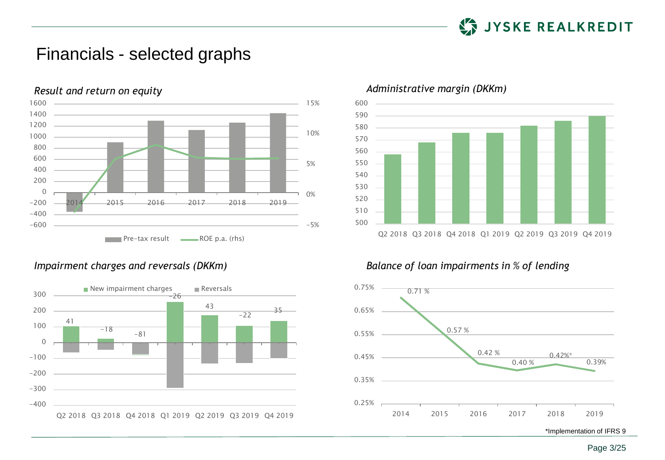

### Financials - selected graphs







#### *Impairment charges and reversals (DKKm) Balance of loan impairments in % of lending*



\*Implementation of IFRS 9



Page 3/25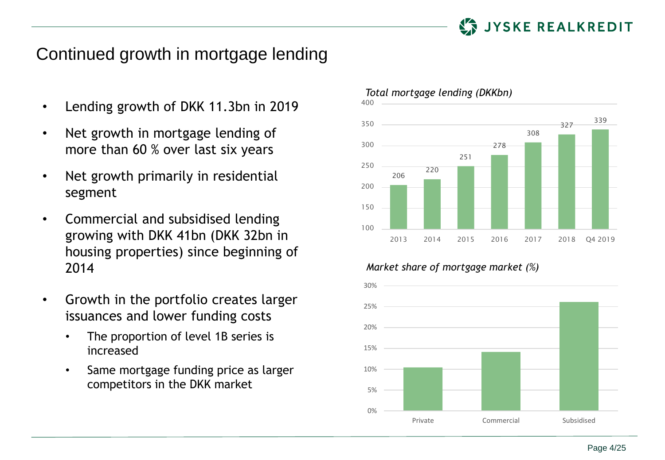

## Continued growth in mortgage lending

- Lending growth of DKK 11.3bn in 2019
- Net growth in mortgage lending of more than 60 % over last six years
- Net growth primarily in residential segment
- Commercial and subsidised lending growing with DKK 41bn (DKK 32bn in housing properties) since beginning of 2014
- Growth in the portfolio creates larger issuances and lower funding costs
	- The proportion of level 1B series is increased
	- Same mortgage funding price as larger competitors in the DKK market



#### *Market share of mortgage market (%)*



#### *Total mortgage lending (DKKbn)*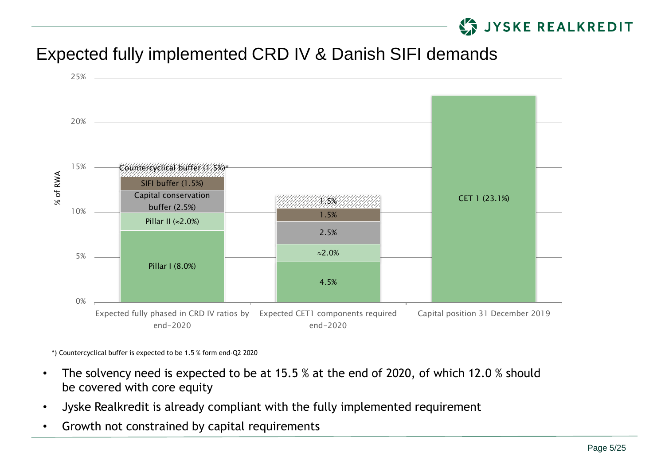## **STAIN STATE REALKREDIT**

## Expected fully implemented CRD IV & Danish SIFI demands



\*) Countercyclical buffer is expected to be 1.5 % form end-Q2 2020

- The solvency need is expected to be at 15.5 % at the end of 2020, of which 12.0 % should be covered with core equity
- Jyske Realkredit is already compliant with the fully implemented requirement
- Growth not constrained by capital requirements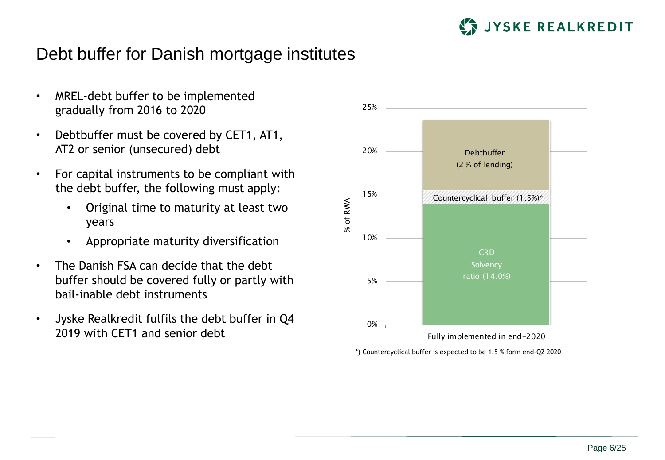

### Debt buffer for Danish mortgage institutes

- MREL-debt buffer to be implemented gradually from 2016 to 2020
- Debtbuffer must be covered by CET1, AT1, AT2 or senior (unsecured) debt
- For capital instruments to be compliant with the debt buffer, the following must apply:
	- Original time to maturity at least two years
	- Appropriate maturity diversification
- The Danish FSA can decide that the debt buffer should be covered fully or partly with bail-inable debt instruments
- Jyske Realkredit fulfils the debt buffer in Q4 2019 with CFT1 and senior debt



\*) Countercyclical buffer is expected to be 1.5 % form end-Q2 2020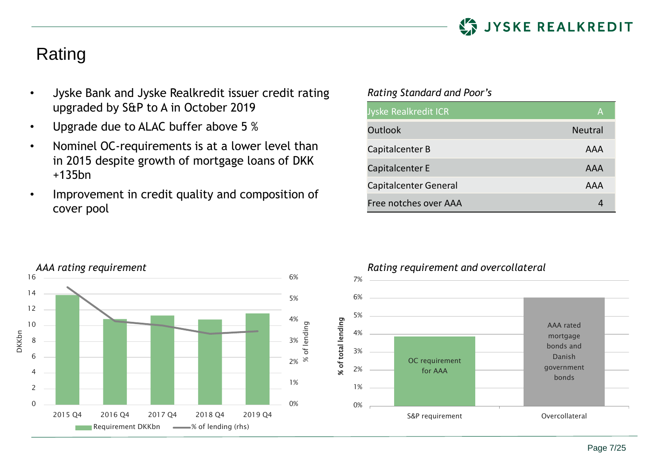

## Rating

- Jyske Bank and Jyske Realkredit issuer credit rating upgraded by S&P to A in October 2019
- Upgrade due to ALAC buffer above 5 %
- Nominel OC-requirements is at a lower level than in 2015 despite growth of mortgage loans of DKK +135bn
- Improvement in credit quality and composition of cover pool

#### *Rating Standard and Poor's*

| Jyske Realkredit ICR  | Α              |
|-----------------------|----------------|
| Outlook               | <b>Neutral</b> |
| Capitalcenter B       | AAA            |
| Capitalcenter E       | AAA            |
| Capitalcenter General | AAA            |
| Free notches over AAA |                |



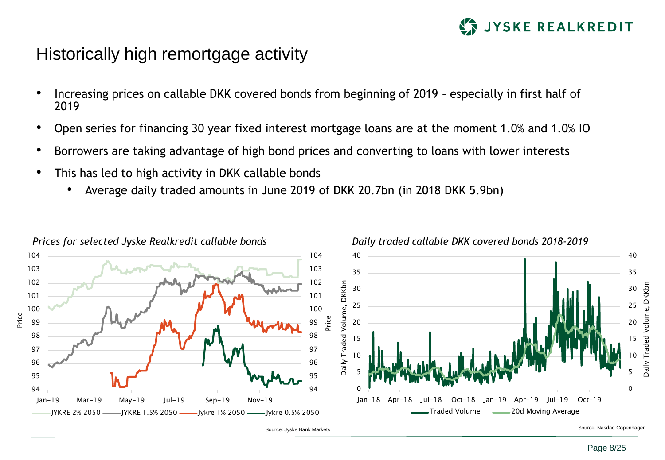

### Historically high remortgage activity

- Increasing prices on callable DKK covered bonds from beginning of 2019 especially in first half of
- Open series for financing 30 year fixed interest mortgage loans are at the moment 1.0% and 1.0% IO
- Borrowers are taking advantage of high bond prices and converting to loans with lower interests
- This has led to high activity in DKK callable bonds
	- Average daily traded amounts in June 2019 of DKK 20.7bn (in 2018 DKK 5.9bn)

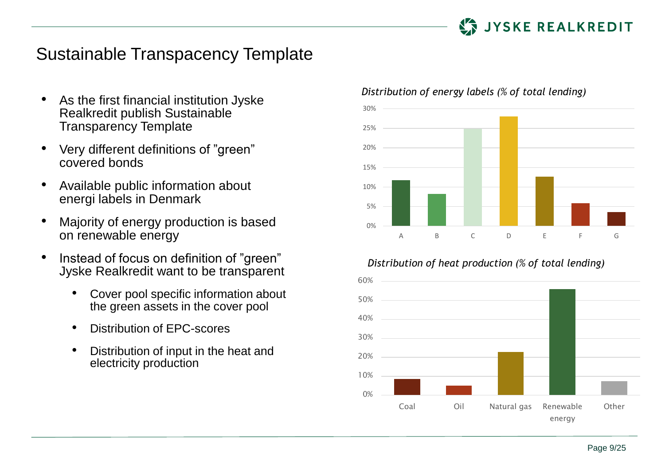

### Sustainable Transpacency Template

- As the first financial institution Jyske Realkredit publish Sustainable Transparency Template
- Very different definitions of "green" covered bonds
- Available public information about energi labels in Denmark
- Majority of energy production is based on renewable energy
- Instead of focus on definition of "green" Jyske Realkredit want to be transparent
	- Cover pool specific information about the green assets in the cover pool
	- Distribution of EPC-scores
	- Distribution of input in the heat and electricity production

#### *Distribution of energy labels (% of total lending)*



#### *Distribution of heat production (% of total lending)*

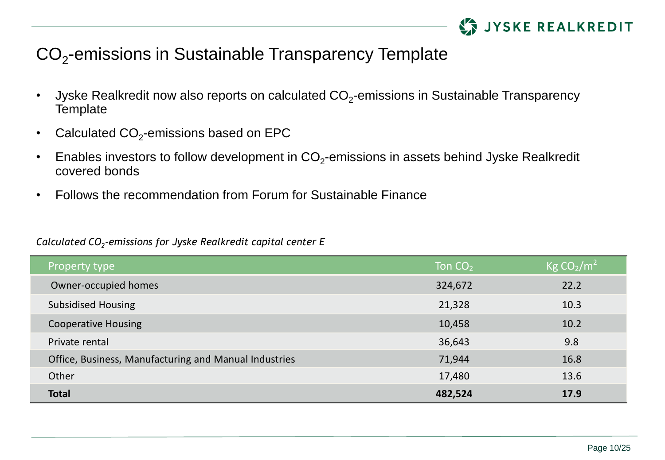

# CO<sub>2</sub>-emissions in Sustainable Transparency Template

- Jyske Realkredit now also reports on calculated CO<sub>2</sub>-emissions in Sustainable Transparency **Template**
- Calculated CO<sub>2</sub>-emissions based on EPC
- Enables investors to follow development in CO<sub>2</sub>-emissions in assets behind Jyske Realkredit covered bonds
- Follows the recommendation from Forum for Sustainable Finance

### *Calculated CO<sup>2</sup> -emissions for Jyske Realkredit capital center E*

| Property type                                         | Ton $CO2$ | $\overline{\rm{Kg~CO_{2}/m^{2}}}$ |
|-------------------------------------------------------|-----------|-----------------------------------|
| Owner-occupied homes                                  | 324,672   | 22.2                              |
| <b>Subsidised Housing</b>                             | 21,328    | 10.3                              |
| <b>Cooperative Housing</b>                            | 10,458    | 10.2                              |
| Private rental                                        | 36,643    | 9.8                               |
| Office, Business, Manufacturing and Manual Industries | 71,944    | 16.8                              |
| Other                                                 | 17,480    | 13.6                              |
| <b>Total</b>                                          | 482,524   | 17.9                              |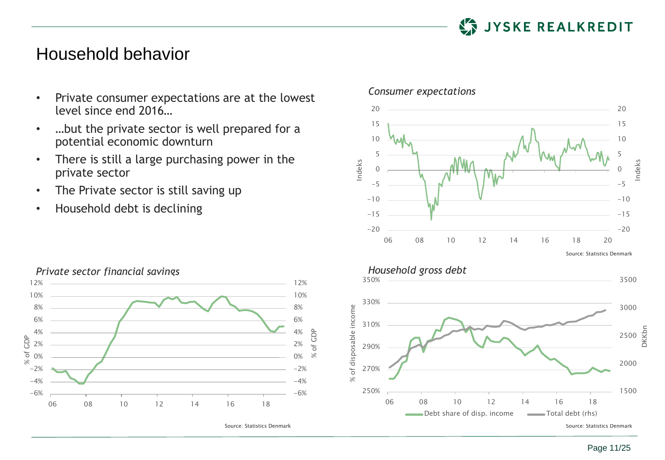

### Household behavior

- Private consumer expectations are at the lowest level since end 2016…
- …but the private sector is well prepared for a potential economic downturn
- There is still a large purchasing power in the private sector

06 08 10 12 14 16 18

-6% -4% -2% 0% 2% 4% 6% 8% 10% 12%

Source: Statistics Denmark

% of GDP

- The Private sector is still saving up
- Household debt is declining

-6%  $-4%$ -2% 0% 2% 4% 6% 8% 10% 12%

% of GDP



#### *Consumer expectations*

20

20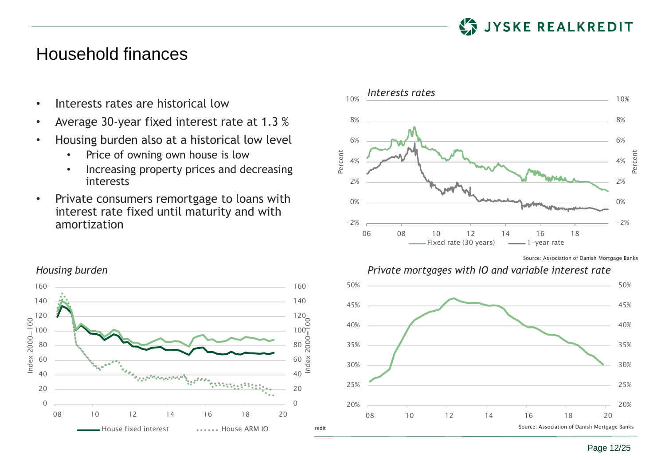

### Household finances

- Interests rates are historical low
- Average 30-year fixed interest rate at 1.3 %
- Housing burden also at a historical low level
	- Price of owning own house is low
	- Increasing property prices and decreasing interests
- Private consumers remortgage to loans with interest rate fixed until maturity and with amortization





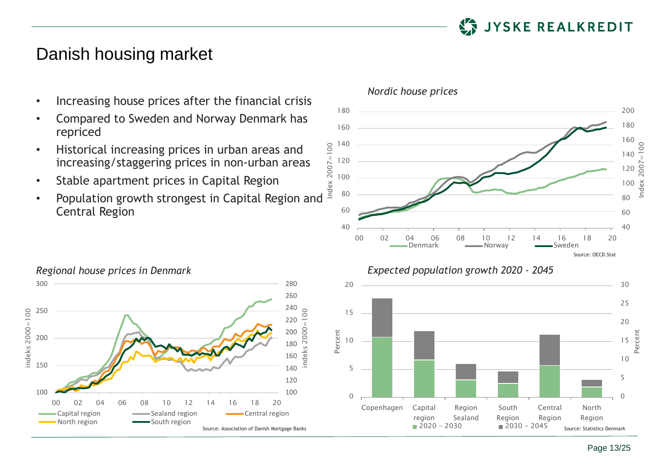

### Danish housing market

- Increasing house prices after the financial crisis
- Compared to Sweden and Norway Denmark has repriced
- Historical increasing prices in urban areas and increasing/staggering prices in non-urban areas Historical increasing prices in urban areas and<br>increasing/staggering prices in non-urban areas<br>Stable apartment prices in Capital Region<br>Population growth strongest in Capital Region and
- Stable apartment prices in Capital Region
- Central Region



#### *Nordic house prices*





Page 13/25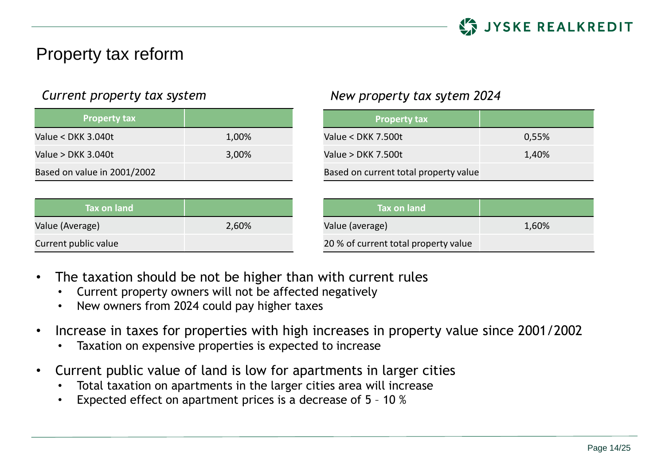

### Property tax reform

| <b>Property tax</b>         |       |
|-----------------------------|-------|
| Value < DKK 3.040t          | 1,00% |
| Value > DKK 3.040t          | 3,00% |
| Based on value in 2001/2002 |       |

| Tax on land          |       |
|----------------------|-------|
| Value (Average)      | 2,60% |
| Current public value |       |

### *Current property tax system New property tax sytem 2024*

| <b>Property tax</b>                   |       |
|---------------------------------------|-------|
| Value < DKK 7.500t                    | 0,55% |
| Value > DKK 7.500t                    | 1,40% |
| Based on current total property value |       |

| Tax on land                          |       |
|--------------------------------------|-------|
| Value (average)                      | 1,60% |
| 20 % of current total property value |       |

- The taxation should be not be higher than with current rules
	- Current property owners will not be affected negatively
	- New owners from 2024 could pay higher taxes
- Increase in taxes for properties with high increases in property value since 2001/2002
	- Taxation on expensive properties is expected to increase
- Current public value of land is low for apartments in larger cities
	- Total taxation on apartments in the larger cities area will increase
	- Expected effect on apartment prices is a decrease of 5 10 %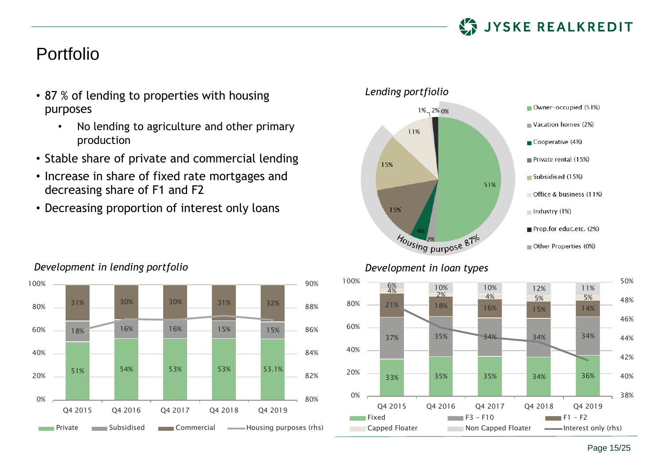

### Portfolio

- 87 % of lending to properties with housing purposes
	- No lending to agriculture and other primary production
- Stable share of private and commercial lending
- Increase in share of fixed rate mortgages and decreasing share of F1 and F2
- Decreasing proportion of interest only loans







Page 15/25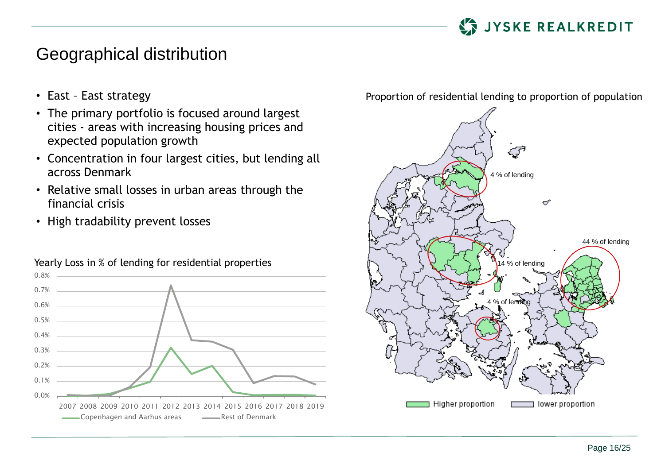

### Geographical distribution

- East East strategy
- The primary portfolio is focused around largest cities - areas with increasing housing prices and expected population growth
- Concentration in four largest cities, but lending all across Denmark
- Relative small losses in urban areas through the financial crisis
- High tradability prevent losses



#### Proportion of residential lending to proportion of population

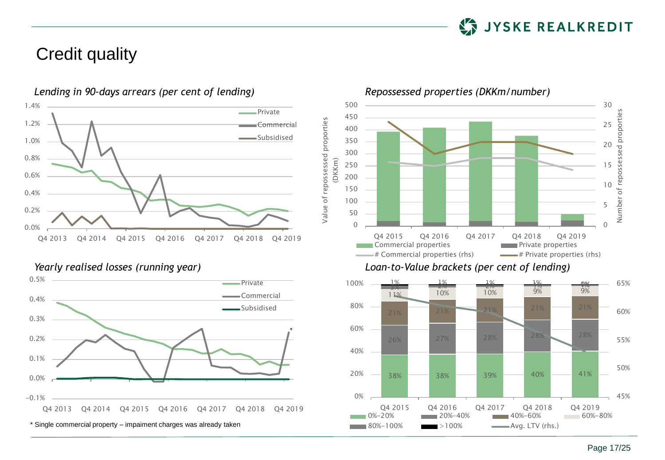

### Credit quality



*Lending in 90-days arrears (per cent of lending) Repossessed properties (DKKm/number)*







0%-20% 20%-40% 40%-60% 60%-80%

 $80\% - 100\%$   $>100\%$  Avg. LTV (rhs.)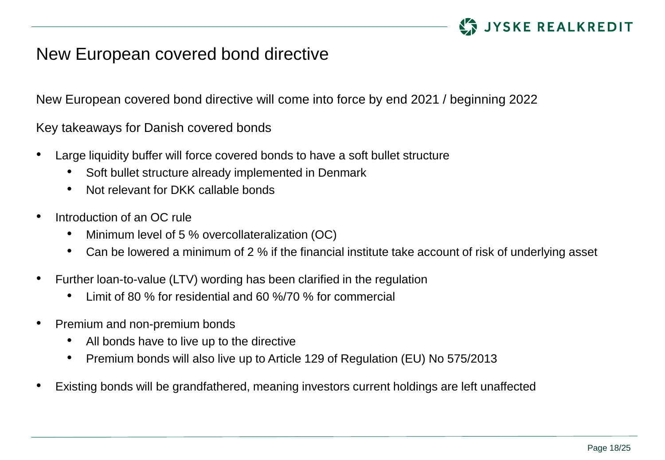

### New European covered bond directive

New European covered bond directive will come into force by end 2021 / beginning 2022

Key takeaways for Danish covered bonds

- Large liquidity buffer will force covered bonds to have a soft bullet structure
	- Soft bullet structure already implemented in Denmark
	- Not relevant for DKK callable bonds
- Introduction of an OC rule
	- Minimum level of 5 % overcollateralization (OC)
	- Can be lowered a minimum of 2 % if the financial institute take account of risk of underlying asset
- Further loan-to-value (LTV) wording has been clarified in the regulation
	- Limit of 80 % for residential and 60 %/70 % for commercial
- Premium and non-premium bonds
	- All bonds have to live up to the directive
	- Premium bonds will also live up to Article 129 of Regulation (EU) No 575/2013
- Existing bonds will be grandfathered, meaning investors current holdings are left unaffected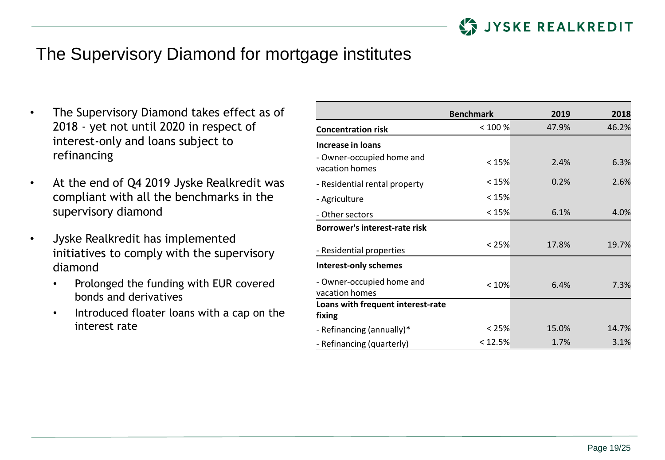

## The Supervisory Diamond for mortgage institutes

- The Supervisory Diamond takes effect as of 2018 - yet not until 2020 in respect of interest-only and loans subject to refinancing
- At the end of Q4 2019 Jyske Realkredit was compliant with all the benchmarks in the supervisory diamond
- Jyske Realkredit has implemented initiatives to comply with the supervisory diamond
	- Prolonged the funding with EUR covered bonds and derivatives
	- Introduced floater loans with a cap on the interest rate

|                                             | <b>Benchmark</b> | 2019  | 2018  |
|---------------------------------------------|------------------|-------|-------|
| <b>Concentration risk</b>                   | < 100 %          | 47.9% | 46.2% |
| Increase in loans                           |                  |       |       |
| - Owner-occupied home and<br>vacation homes | < 15%            | 2.4%  | 6.3%  |
| - Residential rental property               | < 15%            | 0.2%  | 2.6%  |
| - Agriculture                               | < 15%            |       |       |
| - Other sectors                             | < 15%            | 6.1%  | 4.0%  |
| Borrower's interest-rate risk               |                  |       |       |
| - Residential properties                    | < 25%            | 17.8% | 19.7% |
| <b>Interest-only schemes</b>                |                  |       |       |
| - Owner-occupied home and<br>vacation homes | < 10%            | 6.4%  | 7.3%  |
| Loans with frequent interest-rate           |                  |       |       |
| fixing                                      |                  |       |       |
| - Refinancing (annually)*                   | < 25%            | 15.0% | 14.7% |
| - Refinancing (quarterly)                   | < 12.5%          | 1.7%  | 3.1%  |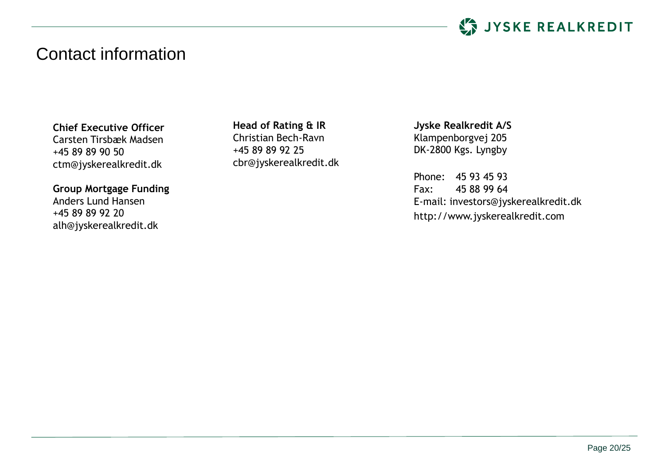

### Contact information

**Chief Executive Officer** Carsten Tirsbæk Madsen +45 89 89 90 50 ctm@jyskerealkredit.dk

**Group Mortgage Funding** Anders Lund Hansen +45 89 89 92 20 alh@jyskerealkredit.dk

**Head of Rating & IR** Christian Bech-Ravn +45 89 89 92 25 cbr@jyskerealkredit.dk **Jyske Realkredit A/S** Klampenborgvej 205 DK-2800 Kgs. Lyngby

Phone: 45 93 45 93 Fax: 45 88 99 64 E-mail: investors@jyskerealkredit.dk http://www.jyskerealkredit.com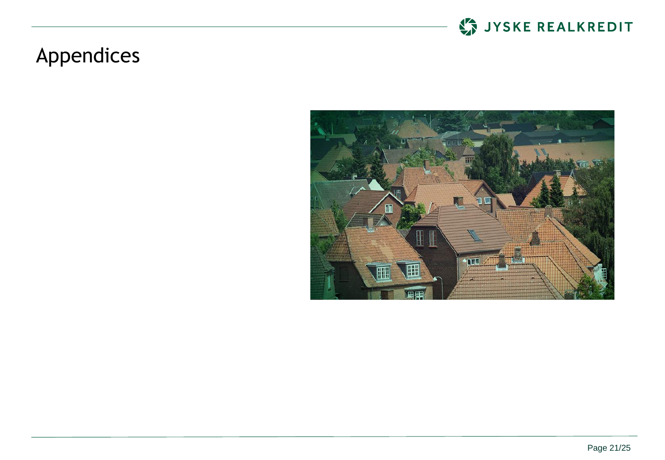

# Appendices

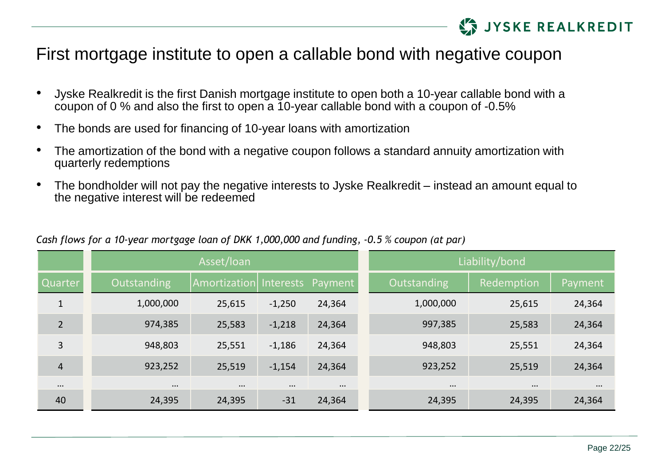

### First mortgage institute to open a callable bond with negative coupon

- Jyske Realkredit is the first Danish mortgage institute to open both a 10-year callable bond with a coupon of 0 % and also the first to open a 10-year callable bond with a coupon of -0.5%
- The bonds are used for financing of 10-year loans with amortization
- The amortization of the bond with a negative coupon follows a standard annuity amortization with quarterly redemptions
- The bondholder will not pay the negative interests to Jyske Realkredit instead an amount equal to the negative interest will be redeemed

|                |             | Asset/loan   |                   |          |             | Liability/bond |          |
|----------------|-------------|--------------|-------------------|----------|-------------|----------------|----------|
| Quarter        | Outstanding | Amortization | Interests Payment |          | Outstanding | Redemption     | Payment  |
| 1              | 1,000,000   | 25,615       | $-1,250$          | 24,364   | 1,000,000   | 25,615         | 24,364   |
| $\overline{2}$ | 974,385     | 25,583       | $-1,218$          | 24,364   | 997,385     | 25,583         | 24,364   |
| 3              | 948,803     | 25,551       | $-1,186$          | 24,364   | 948,803     | 25,551         | 24,364   |
| 4              | 923,252     | 25,519       | $-1,154$          | 24,364   | 923,252     | 25,519         | 24,364   |
| $\cdots$       | $\cdots$    | $\cdots$     | $\cdots$          | $\cdots$ | $\cdots$    | $\cdots$       | $\cdots$ |
| 40             | 24,395      | 24,395       | $-31$             | 24,364   | 24,395      | 24,395         | 24,364   |

#### *Cash flows for a 10-year mortgage loan of DKK 1,000,000 and funding, -0.5 % coupon (at par)*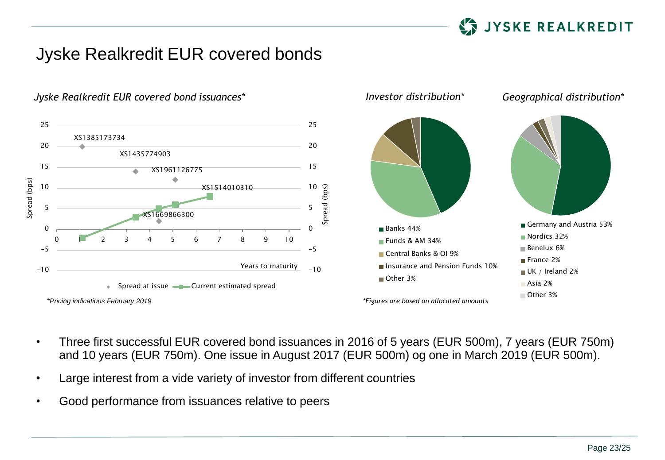

## Jyske Realkredit EUR covered bonds



*Jyske Realkredit EUR covered bond issuances\* Investor distribution\* Geographical distribution\**

- Three first successful EUR covered bond issuances in 2016 of 5 years (EUR 500m), 7 years (EUR 750m) and 10 years (EUR 750m). One issue in August 2017 (EUR 500m) og one in March 2019 (EUR 500m).
- Large interest from a vide variety of investor from different countries
- Good performance from issuances relative to peers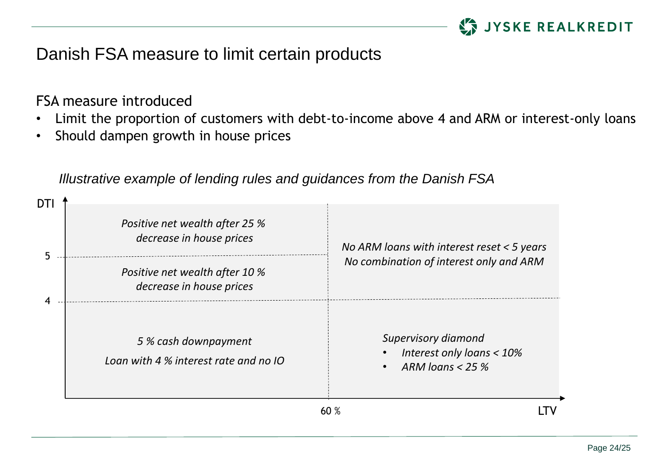

## Danish FSA measure to limit certain products

FSA measure introduced

- Limit the proportion of customers with debt-to-income above 4 and ARM or interest-only loans
- Should dampen growth in house prices

| DTI |                                                               |                                                                             |  |
|-----|---------------------------------------------------------------|-----------------------------------------------------------------------------|--|
|     | Positive net wealth after 25 %<br>decrease in house prices    | No ARM loans with interest reset $<$ 5 years                                |  |
| 5   | Positive net wealth after 10 %<br>decrease in house prices    | No combination of interest only and ARM                                     |  |
|     | 5 % cash downpayment<br>Loan with 4 % interest rate and no IO | Supervisory diamond<br>Interest only loans $<$ 10%<br>ARM loans $<$ 25 $\%$ |  |
|     |                                                               | 60%                                                                         |  |

*Illustrative example of lending rules and guidances from the Danish FSA*